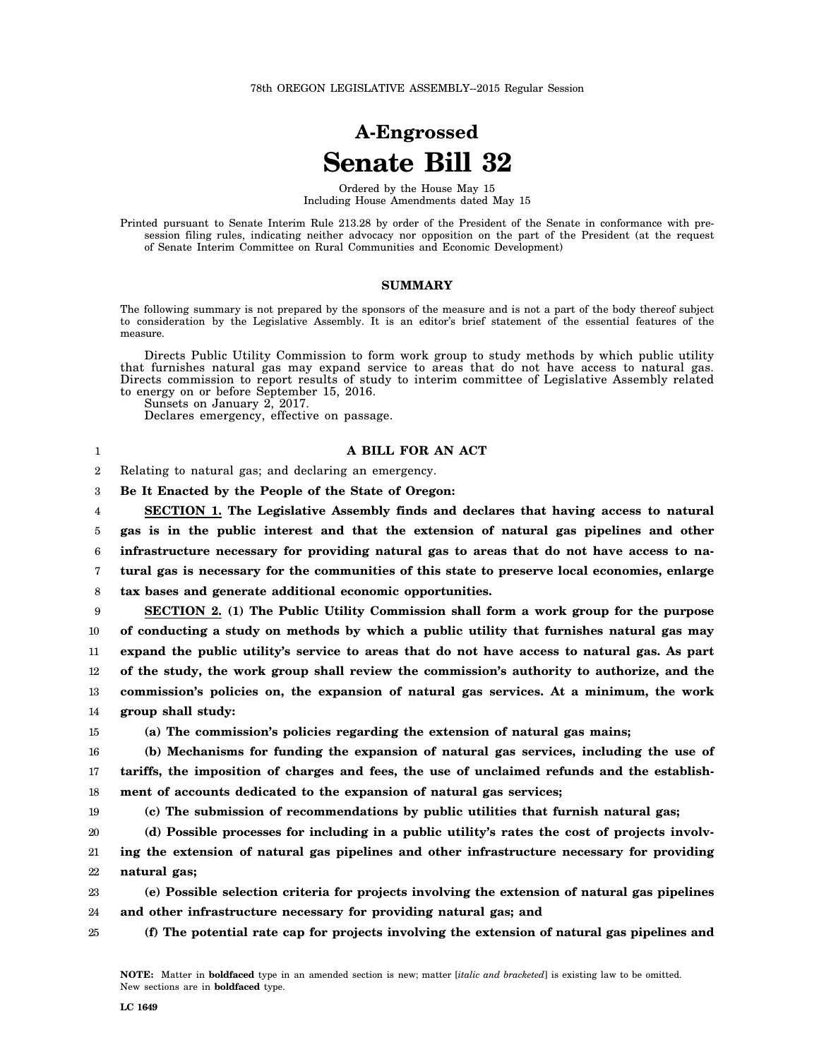## **A-Engrossed Senate Bill 32**

Ordered by the House May 15 Including House Amendments dated May 15

Printed pursuant to Senate Interim Rule 213.28 by order of the President of the Senate in conformance with presession filing rules, indicating neither advocacy nor opposition on the part of the President (at the request of Senate Interim Committee on Rural Communities and Economic Development)

## **SUMMARY**

The following summary is not prepared by the sponsors of the measure and is not a part of the body thereof subject to consideration by the Legislative Assembly. It is an editor's brief statement of the essential features of the measure.

Directs Public Utility Commission to form work group to study methods by which public utility that furnishes natural gas may expand service to areas that do not have access to natural gas. Directs commission to report results of study to interim committee of Legislative Assembly related to energy on or before September 15, 2016.

Sunsets on January 2, 2017.

Declares emergency, effective on passage.

## **A BILL FOR AN ACT**

2 Relating to natural gas; and declaring an emergency.

3 **Be It Enacted by the People of the State of Oregon:**

4 5 6 7 8 **SECTION 1. The Legislative Assembly finds and declares that having access to natural gas is in the public interest and that the extension of natural gas pipelines and other infrastructure necessary for providing natural gas to areas that do not have access to natural gas is necessary for the communities of this state to preserve local economies, enlarge tax bases and generate additional economic opportunities.**

9 10 11 12 13 14 **SECTION 2. (1) The Public Utility Commission shall form a work group for the purpose of conducting a study on methods by which a public utility that furnishes natural gas may expand the public utility's service to areas that do not have access to natural gas. As part of the study, the work group shall review the commission's authority to authorize, and the commission's policies on, the expansion of natural gas services. At a minimum, the work group shall study:**

15

1

**(a) The commission's policies regarding the extension of natural gas mains;**

16 17 18 **(b) Mechanisms for funding the expansion of natural gas services, including the use of tariffs, the imposition of charges and fees, the use of unclaimed refunds and the establishment of accounts dedicated to the expansion of natural gas services;**

- 19
- **(c) The submission of recommendations by public utilities that furnish natural gas;**

20 **(d) Possible processes for including in a public utility's rates the cost of projects involv-**

21 22 **ing the extension of natural gas pipelines and other infrastructure necessary for providing natural gas;**

23 24 **(e) Possible selection criteria for projects involving the extension of natural gas pipelines and other infrastructure necessary for providing natural gas; and**

25 **(f) The potential rate cap for projects involving the extension of natural gas pipelines and**